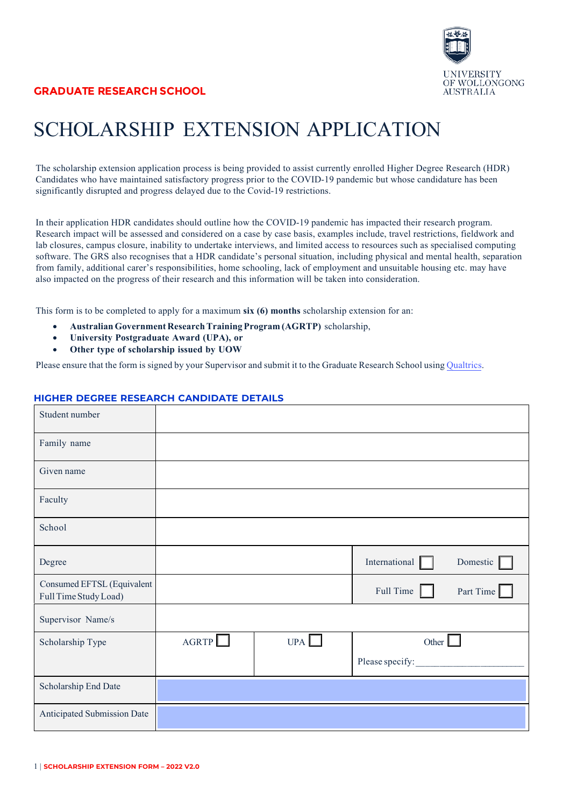

## SCHOLARSHIP EXTENSION APPLICATION

The scholarship extension application process is being provided to assist currently enrolled Higher Degree Research (HDR) Candidates who have maintained satisfactory progress prior to the COVID-19 pandemic but whose candidature has been significantly disrupted and progress delayed due to the Covid-19 restrictions.

In their application HDR candidates should outline how the COVID-19 pandemic has impacted their research program. Research impact will be assessed and considered on a case by case basis, examples include, travel restrictions, fieldwork and lab closures, campus closure, inability to undertake interviews, and limited access to resources such as specialised computing software. The GRS also recognises that a HDR candidate's personal situation, including physical and mental health, separation from family, additional carer's responsibilities, home schooling, lack of employment and unsuitable housing etc. may have also impacted on the progress of their research and this information will be taken into consideration.

This form is to be completed to apply for a maximum **six (6) months** scholarship extension for an:

- **Australian Government Research Training Program (AGRTP)** scholarship,
- **University Postgraduate Award (UPA), or**
- **Other type of scholarship issued by UOW**

Please ensure that the form is signed by your Supervisor and submit it to the Graduate Research School using [Qualtrics](https://uow.au1.qualtrics.com/jfe/form/SV_8zUiynNoCRmMPY2).

## **HIGHER DEGREE RESEARCH CANDIDATE DETAILS**

| Student number                                      |       |     |                 |           |
|-----------------------------------------------------|-------|-----|-----------------|-----------|
| Family name                                         |       |     |                 |           |
| Given name                                          |       |     |                 |           |
| Faculty                                             |       |     |                 |           |
| School                                              |       |     |                 |           |
| Degree                                              |       |     | International   | Domestic  |
| Consumed EFTSL (Equivalent<br>Full Time Study Load) |       |     | Full Time       | Part Time |
| Supervisor Name/s                                   |       |     |                 |           |
| Scholarship Type                                    | AGRTP | UPA | Other $\Box$    |           |
|                                                     |       |     | Please specify: |           |
| Scholarship End Date                                |       |     |                 |           |
| Anticipated Submission Date                         |       |     |                 |           |